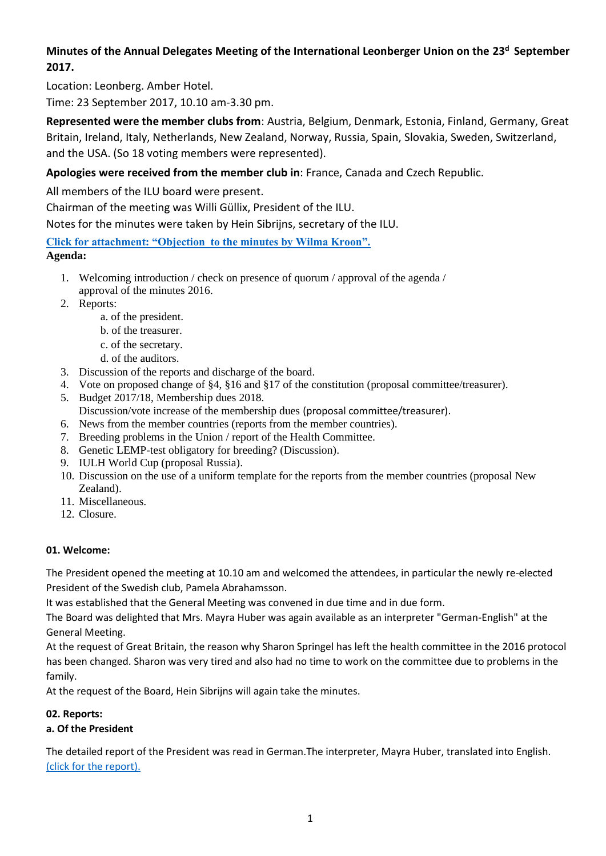# **Minutes of the Annual Delegates Meeting of the International Leonberger Union on the 23<sup>d</sup> September 2017.**

Location: Leonberg. Amber Hotel.

Time: 23 September 2017, 10.10 am-3.30 pm.

**Represented were the member clubs from**: Austria, Belgium, Denmark, Estonia, Finland, Germany, Great Britain, Ireland, Italy, Netherlands, New Zealand, Norway, Russia, Spain, Slovakia, Sweden, Switzerland, and the USA. (So 18 voting members were represented).

# **Apologies were received from the member club in**: France, Canada and Czech Republic.

All members of the ILU board were present.

Chairman of the meeting was Willi Güllix, President of the ILU.

Notes for the minutes were taken by Hein Sibrijns, secretary of the ILU.

## **[Click for attachment: "Objection to the minutes by Wilma Kroon".](https://leonbergerunion.com/meeting%202018/Objection%20to%20minutes%202017%20Wilma%20Kroon.pdf)**

**Agenda:**

- 1. Welcoming introduction / check on presence of quorum / approval of the agenda / approval of the minutes 2016.
- 2. Reports:
	- a. of the president.
	- b. of the treasurer.
	- c. of the secretary.
	- d. of the auditors.
- 3. Discussion of the reports and discharge of the board.
- 4. Vote on proposed change of §4, §16 and §17 of the constitution (proposal committee/treasurer).
- 5. Budget 2017/18, Membership dues 2018.
- Discussion/vote increase of the membership dues (proposal committee/treasurer).
- 6. News from the member countries (reports from the member countries).
- 7. Breeding problems in the Union / report of the Health Committee.
- 8. Genetic LEMP-test obligatory for breeding? (Discussion).
- 9. IULH World Cup (proposal Russia).
- 10. Discussion on the use of a uniform template for the reports from the member countries (proposal New Zealand).
- 11. Miscellaneous.
- 12. Closure.

# **01. Welcome:**

The President opened the meeting at 10.10 am and welcomed the attendees, in particular the newly re-elected President of the Swedish club, Pamela Abrahamsson.

It was established that the General Meeting was convened in due time and in due form.

The Board was delighted that Mrs. Mayra Huber was again available as an interpreter "German-English" at the General Meeting.

At the request of Great Britain, the reason why Sharon Springel has left the health committee in the 2016 protocol has been changed. Sharon was very tired and also had no time to work on the committee due to problems in the family.

At the request of the Board, Hein Sibrijns will again take the minutes.

# **02. Reports:**

# **a. Of the President**

The detailed report of the President was read in German.The interpreter, Mayra Huber, translated into English. [\(click for the report\).](http://www.leonbergerunion.com/reports2015/President%20report%202017%20en.pdf)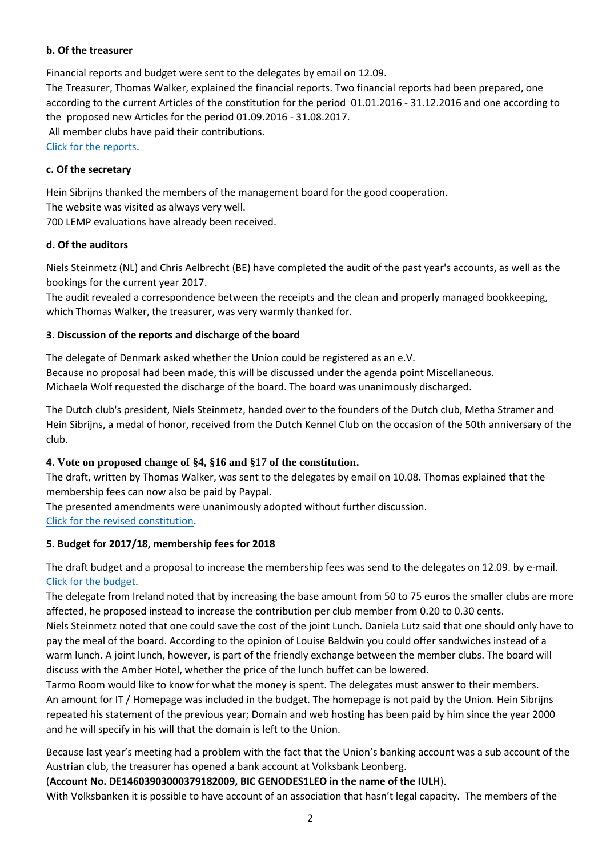#### **b. Of the treasurer**

Financial reports and budget were sent to the delegates by email on 12.09. The Treasurer, Thomas Walker, explained the financial reports. Two financial reports had been prepared, one according to the current Articles of the constitution for the period 01.01.2016 - 31.12.2016 and one according to the proposed new Articles for the period 01.09.2016 - 31.08.2017. All member clubs have paid their contributions. [Click for the reports.](http://www.leonbergerunion.com/reports2015/reports2017.htm)

#### **c. Of the secretary**

Hein Sibrijns thanked the members of the management board for the good cooperation.

The website was visited as always very well.

700 LEMP evaluations have already been received.

#### **d. Of the auditors**

Niels Steinmetz (NL) and Chris Aelbrecht (BE) have completed the audit of the past year's accounts, as well as the bookings for the current year 2017.

The audit revealed a correspondence between the receipts and the clean and properly managed bookkeeping, which Thomas Walker, the treasurer, was very warmly thanked for.

#### **3. Discussion of the reports and discharge of the board**

The delegate of Denmark asked whether the Union could be registered as an e.V. Because no proposal had been made, this will be discussed under the agenda point Miscellaneous. Michaela Wolf requested the discharge of the board. The board was unanimously discharged.

The Dutch club's president, Niels Steinmetz, handed over to the founders of the Dutch club, Metha Stramer and Hein Sibrijns, a medal of honor, received from the Dutch Kennel Club on the occasion of the 50th anniversary of the club.

#### **4. Vote on proposed change of §4, §16 and §17 of the constitution.**

The draft, written by Thomas Walker, was sent to the delegates by email on 10.08. Thomas explained that the membership fees can now also be paid by Paypal.

The presented amendments were unanimously adopted without further discussion. [Click for the revised constitution.](http://www.leonbergerunion.com/constitution.htm)

#### **5. Budget for 2017/18, membership fees for 2018**

The draft budget and a proposal to increase the membership fees was send to the delegates on 12.09. by e-mail. [Click for the budget.](http://www.leonbergerunion.com/reports2015/2017_18_Budget_NEW.pdf)

The delegate from Ireland noted that by increasing the base amount from 50 to 75 euros the smaller clubs are more affected, he proposed instead to increase the contribution per club member from 0.20 to 0.30 cents.

Niels Steinmetz noted that one could save the cost of the joint Lunch. Daniela Lutz said that one should only have to pay the meal of the board. According to the opinion of Louise Baldwin you could offer sandwiches instead of a warm lunch. A joint lunch, however, is part of the friendly exchange between the member clubs. The board will discuss with the Amber Hotel, whether the price of the lunch buffet can be lowered.

Tarmo Room would like to know for what the money is spent. The delegates must answer to their members. An amount for IT / Homepage was included in the budget. The homepage is not paid by the Union. Hein Sibrijns repeated his statement of the previous year; Domain and web hosting has been paid by him since the year 2000 and he will specify in his will that the domain is left to the Union.

Because last year's meeting had a problem with the fact that the Union's banking account was a sub account of the Austrian club, the treasurer has opened a bank account at Volksbank Leonberg.

#### (**Account No. DE14603903000379182009, BIC GENODES1LEO in the name of the IULH**).

With Volksbanken it is possible to have account of an association that hasn't legal capacity. The members of the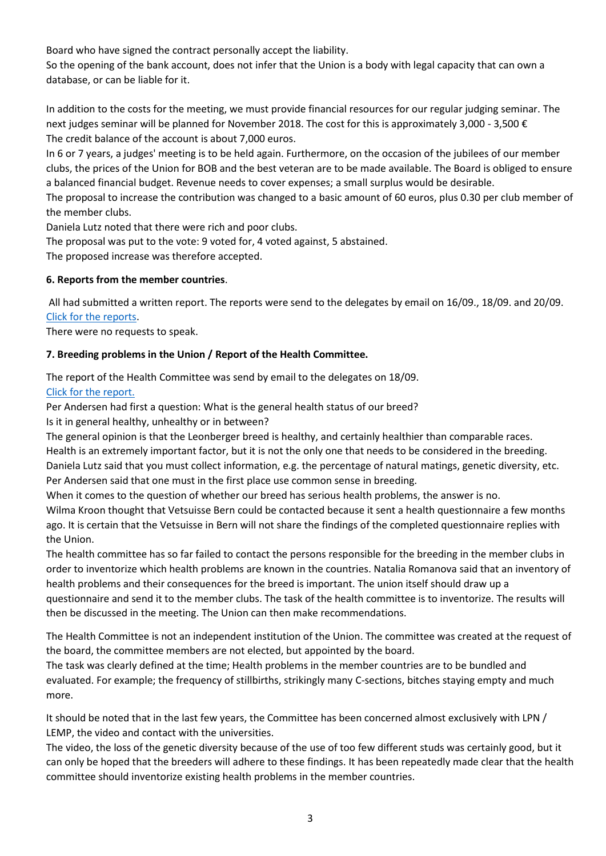Board who have signed the contract personally accept the liability.

So the opening of the bank account, does not infer that the Union is a body with legal capacity that can own a database, or can be liable for it.

In addition to the costs for the meeting, we must provide financial resources for our regular judging seminar. The next judges seminar will be planned for November 2018. The cost for this is approximately 3,000 - 3,500 € The credit balance of the account is about 7,000 euros.

In 6 or 7 years, a judges' meeting is to be held again. Furthermore, on the occasion of the jubilees of our member clubs, the prices of the Union for BOB and the best veteran are to be made available. The Board is obliged to ensure a balanced financial budget. Revenue needs to cover expenses; a small surplus would be desirable.

The proposal to increase the contribution was changed to a basic amount of 60 euros, plus 0.30 per club member of the member clubs.

Daniela Lutz noted that there were rich and poor clubs.

The proposal was put to the vote: 9 voted for, 4 voted against, 5 abstained.

The proposed increase was therefore accepted.

## **6. Reports from the member countries**.

All had submitted a written report. The reports were send to the delegates by email on 16/09., 18/09. and 20/09. [Click for the reports.](http://www.leonbergerunion.com/reports2015/reports2017.htm)

There were no requests to speak.

## **7. Breeding problems in the Union / Report of the Health Committee.**

The report of the Health Committee was send by email to the delegates on 18/09. [Click for the report.](http://www.leonbergerunion.com/reports2015/Report%20Health%20committee%202017.pdf)

Per Andersen had first a question: What is the general health status of our breed?

Is it in general healthy, unhealthy or in between?

The general opinion is that the Leonberger breed is healthy, and certainly healthier than comparable races. Health is an extremely important factor, but it is not the only one that needs to be considered in the breeding. Daniela Lutz said that you must collect information, e.g. the percentage of natural matings, genetic diversity, etc. Per Andersen said that one must in the first place use common sense in breeding.

When it comes to the question of whether our breed has serious health problems, the answer is no.

Wilma Kroon thought that Vetsuisse Bern could be contacted because it sent a health questionnaire a few months ago. It is certain that the Vetsuisse in Bern will not share the findings of the completed questionnaire replies with the Union.

The health committee has so far failed to contact the persons responsible for the breeding in the member clubs in order to inventorize which health problems are known in the countries. Natalia Romanova said that an inventory of health problems and their consequences for the breed is important. The union itself should draw up a questionnaire and send it to the member clubs. The task of the health committee is to inventorize. The results will then be discussed in the meeting. The Union can then make recommendations.

The Health Committee is not an independent institution of the Union. The committee was created at the request of the board, the committee members are not elected, but appointed by the board.

The task was clearly defined at the time; Health problems in the member countries are to be bundled and evaluated. For example; the frequency of stillbirths, strikingly many C-sections, bitches staying empty and much more.

It should be noted that in the last few years, the Committee has been concerned almost exclusively with LPN / LEMP, the video and contact with the universities.

The video, the loss of the genetic diversity because of the use of too few different studs was certainly good, but it can only be hoped that the breeders will adhere to these findings. It has been repeatedly made clear that the health committee should inventorize existing health problems in the member countries.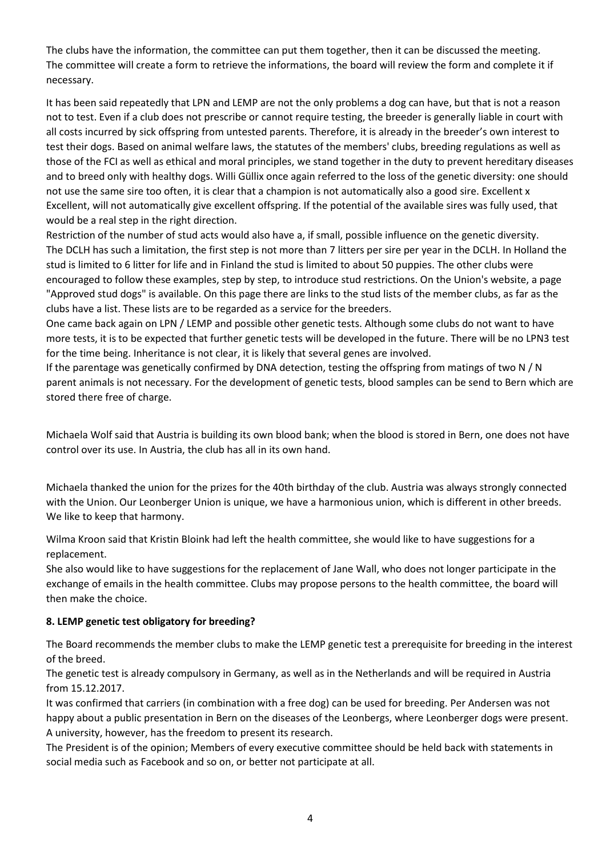The clubs have the information, the committee can put them together, then it can be discussed the meeting. The committee will create a form to retrieve the informations, the board will review the form and complete it if necessary.

It has been said repeatedly that LPN and LEMP are not the only problems a dog can have, but that is not a reason not to test. Even if a club does not prescribe or cannot require testing, the breeder is generally liable in court with all costs incurred by sick offspring from untested parents. Therefore, it is already in the breeder's own interest to test their dogs. Based on animal welfare laws, the statutes of the members' clubs, breeding regulations as well as those of the FCI as well as ethical and moral principles, we stand together in the duty to prevent hereditary diseases and to breed only with healthy dogs. Willi Güllix once again referred to the loss of the genetic diversity: one should not use the same sire too often, it is clear that a champion is not automatically also a good sire. Excellent x Excellent, will not automatically give excellent offspring. If the potential of the available sires was fully used, that would be a real step in the right direction.

Restriction of the number of stud acts would also have a, if small, possible influence on the genetic diversity. The DCLH has such a limitation, the first step is not more than 7 litters per sire per year in the DCLH. In Holland the stud is limited to 6 litter for life and in Finland the stud is limited to about 50 puppies. The other clubs were encouraged to follow these examples, step by step, to introduce stud restrictions. On the Union's website, a page "Approved stud dogs" is available. On this page there are links to the stud lists of the member clubs, as far as the clubs have a list. These lists are to be regarded as a service for the breeders.

One came back again on LPN / LEMP and possible other genetic tests. Although some clubs do not want to have more tests, it is to be expected that further genetic tests will be developed in the future. There will be no LPN3 test for the time being. Inheritance is not clear, it is likely that several genes are involved.

If the parentage was genetically confirmed by DNA detection, testing the offspring from matings of two N / N parent animals is not necessary. For the development of genetic tests, blood samples can be send to Bern which are stored there free of charge.

Michaela Wolf said that Austria is building its own blood bank; when the blood is stored in Bern, one does not have control over its use. In Austria, the club has all in its own hand.

Michaela thanked the union for the prizes for the 40th birthday of the club. Austria was always strongly connected with the Union. Our Leonberger Union is unique, we have a harmonious union, which is different in other breeds. We like to keep that harmony.

Wilma Kroon said that Kristin Bloink had left the health committee, she would like to have suggestions for a replacement.

She also would like to have suggestions for the replacement of Jane Wall, who does not longer participate in the exchange of emails in the health committee. Clubs may propose persons to the health committee, the board will then make the choice.

#### **8. LEMP genetic test obligatory for breeding?**

The Board recommends the member clubs to make the LEMP genetic test a prerequisite for breeding in the interest of the breed.

The genetic test is already compulsory in Germany, as well as in the Netherlands and will be required in Austria from 15.12.2017.

It was confirmed that carriers (in combination with a free dog) can be used for breeding. Per Andersen was not happy about a public presentation in Bern on the diseases of the Leonbergs, where Leonberger dogs were present. A university, however, has the freedom to present its research.

The President is of the opinion; Members of every executive committee should be held back with statements in social media such as Facebook and so on, or better not participate at all.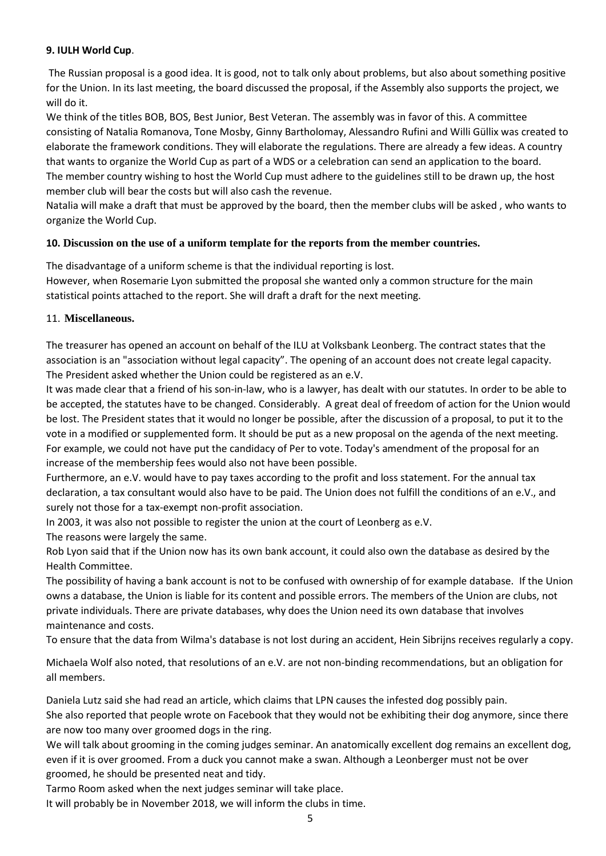#### **9. IULH World Cup**.

The Russian proposal is a good idea. It is good, not to talk only about problems, but also about something positive for the Union. In its last meeting, the board discussed the proposal, if the Assembly also supports the project, we will do it.

We think of the titles BOB, BOS, Best Junior, Best Veteran. The assembly was in favor of this. A committee consisting of Natalia Romanova, Tone Mosby, Ginny Bartholomay, Alessandro Rufini and Willi Güllix was created to elaborate the framework conditions. They will elaborate the regulations. There are already a few ideas. A country that wants to organize the World Cup as part of a WDS or a celebration can send an application to the board. The member country wishing to host the World Cup must adhere to the guidelines still to be drawn up, the host member club will bear the costs but will also cash the revenue.

Natalia will make a draft that must be approved by the board, then the member clubs will be asked , who wants to organize the World Cup.

## **10. Discussion on the use of a uniform template for the reports from the member countries.**

The disadvantage of a uniform scheme is that the individual reporting is lost. However, when Rosemarie Lyon submitted the proposal she wanted only a common structure for the main statistical points attached to the report. She will draft a draft for the next meeting.

#### 11. **Miscellaneous.**

The treasurer has opened an account on behalf of the ILU at Volksbank Leonberg. The contract states that the association is an "association without legal capacity". The opening of an account does not create legal capacity. The President asked whether the Union could be registered as an e.V.

It was made clear that a friend of his son-in-law, who is a lawyer, has dealt with our statutes. In order to be able to be accepted, the statutes have to be changed. Considerably. A great deal of freedom of action for the Union would be lost. The President states that it would no longer be possible, after the discussion of a proposal, to put it to the vote in a modified or supplemented form. It should be put as a new proposal on the agenda of the next meeting. For example, we could not have put the candidacy of Per to vote. Today's amendment of the proposal for an increase of the membership fees would also not have been possible.

Furthermore, an e.V. would have to pay taxes according to the profit and loss statement. For the annual tax declaration, a tax consultant would also have to be paid. The Union does not fulfill the conditions of an e.V., and surely not those for a tax-exempt non-profit association.

In 2003, it was also not possible to register the union at the court of Leonberg as e.V.

The reasons were largely the same.

Rob Lyon said that if the Union now has its own bank account, it could also own the database as desired by the Health Committee.

The possibility of having a bank account is not to be confused with ownership of for example database. If the Union owns a database, the Union is liable for its content and possible errors. The members of the Union are clubs, not private individuals. There are private databases, why does the Union need its own database that involves maintenance and costs.

To ensure that the data from Wilma's database is not lost during an accident, Hein Sibrijns receives regularly a copy.

Michaela Wolf also noted, that resolutions of an e.V. are not non-binding recommendations, but an obligation for all members.

Daniela Lutz said she had read an article, which claims that LPN causes the infested dog possibly pain.

She also reported that people wrote on Facebook that they would not be exhibiting their dog anymore, since there are now too many over groomed dogs in the ring.

We will talk about grooming in the coming judges seminar. An anatomically excellent dog remains an excellent dog, even if it is over groomed. From a duck you cannot make a swan. Although a Leonberger must not be over groomed, he should be presented neat and tidy.

Tarmo Room asked when the next judges seminar will take place.

It will probably be in November 2018, we will inform the clubs in time.